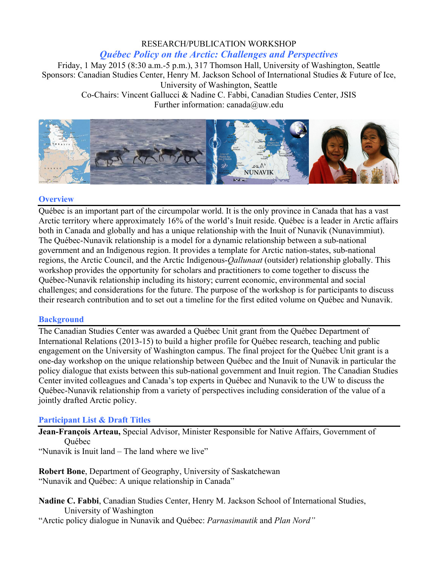# RESEARCH/PUBLICATION WORKSHOP

### *Québec Policy on the Arctic: Challenges and Perspectives*

Friday, 1 May 2015 (8:30 a.m.-5 p.m.), 317 Thomson Hall, University of Washington, Seattle Sponsors: Canadian Studies Center, Henry M. Jackson School of International Studies & Future of Ice, University of Washington, Seattle Co-Chairs: Vincent Gallucci & Nadine C. Fabbi, Canadian Studies Center, JSIS Further information: canada@uw.edu



#### **Overview**

Québec is an important part of the circumpolar world. It is the only province in Canada that has a vast Arctic territory where approximately 16% of the world's Inuit reside. Québec is a leader in Arctic affairs both in Canada and globally and has a unique relationship with the Inuit of Nunavik (Nunavimmiut). The Québec-Nunavik relationship is a model for a dynamic relationship between a sub-national government and an Indigenous region. It provides a template for Arctic nation-states, sub-national regions, the Arctic Council, and the Arctic Indigenous-*Qallunaat* (outsider) relationship globally. This workshop provides the opportunity for scholars and practitioners to come together to discuss the Québec-Nunavik relationship including its history; current economic, environmental and social challenges; and considerations for the future. The purpose of the workshop is for participants to discuss their research contribution and to set out a timeline for the first edited volume on Québec and Nunavik.

## **Background**

The Canadian Studies Center was awarded a Québec Unit grant from the Québec Department of International Relations (2013-15) to build a higher profile for Québec research, teaching and public engagement on the University of Washington campus. The final project for the Québec Unit grant is a one-day workshop on the unique relationship between Québec and the Inuit of Nunavik in particular the policy dialogue that exists between this sub-national government and Inuit region. The Canadian Studies Center invited colleagues and Canada's top experts in Québec and Nunavik to the UW to discuss the Québec-Nunavik relationship from a variety of perspectives including consideration of the value of a jointly drafted Arctic policy.

## **Participant List & Draft Titles**

**Jean-François Arteau,** Special Advisor, Minister Responsible for Native Affairs, Government of **Ouébec** 

"Nunavik is Inuit land – The land where we live"

**Robert Bone**, Department of Geography, University of Saskatchewan "Nunavik and Québec: A unique relationship in Canada"

**Nadine C. Fabbi**, Canadian Studies Center, Henry M. Jackson School of International Studies, University of Washington "Arctic policy dialogue in Nunavik and Québec: *Parnasimautik* and *Plan Nord"*